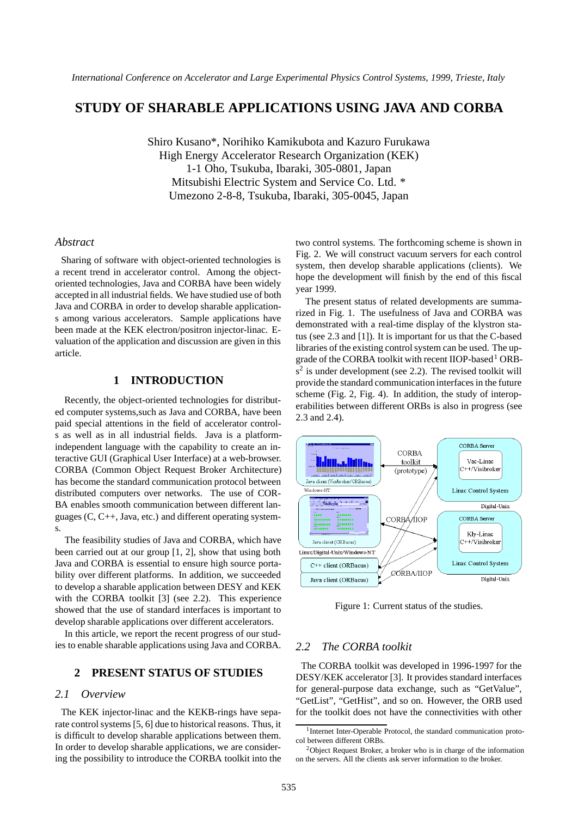# **STUDY OF SHARABLE APPLICATIONS USING JAVA AND CORBA**

Shiro Kusano\*, Norihiko Kamikubota and Kazuro Furukawa High Energy Accelerator Research Organization (KEK) 1-1 Oho, Tsukuba, Ibaraki, 305-0801, Japan Mitsubishi Electric System and Service Co. Ltd. \* Umezono 2-8-8, Tsukuba, Ibaraki, 305-0045, Japan

### *Abstract*

Sharing of software with object-oriented technologies is a recent trend in accelerator control. Among the objectoriented technologies, Java and CORBA have been widely accepted in all industrial fields. We have studied use of both Java and CORBA in order to develop sharable applications among various accelerators. Sample applications have been made at the KEK electron/positron injector-linac. Evaluation of the application and discussion are given in this article.

# **1 INTRODUCTION**

Recently, the object-oriented technologies for distributed computer systems,such as Java and CORBA, have been paid special attentions in the field of accelerator controls as well as in all industrial fields. Java is a platformindependent language with the capability to create an interactive GUI (Graphical User Interface) at a web-browser. CORBA (Common Object Request Broker Architecture) has become the standard communication protocol between distributed computers over networks. The use of COR-BA enables smooth communication between different languages (C, C++, Java, etc.) and different operating systems.

The feasibility studies of Java and CORBA, which have been carried out at our group [1, 2], show that using both Java and CORBA is essential to ensure high source portability over different platforms. In addition, we succeeded to develop a sharable application between DESY and KEK with the CORBA toolkit [3] (see 2.2). This experience showed that the use of standard interfaces is important to develop sharable applications over different accelerators.

In this article, we report the recent progress of our studies to enable sharable applications using Java and CORBA.

# **2 PRESENT STATUS OF STUDIES**

#### *2.1 Overview*

The KEK injector-linac and the KEKB-rings have separate control systems [5, 6] due to historical reasons. Thus, it is difficult to develop sharable applications between them. In order to develop sharable applications, we are considering the possibility to introduce the CORBA toolkit into the two control systems. The forthcoming scheme is shown in Fig. 2. We will construct vacuum servers for each control system, then develop sharable applications (clients). We hope the development will finish by the end of this fiscal year 1999.

The present status of related developments are summarized in Fig. 1. The usefulness of Java and CORBA was demonstrated with a real-time display of the klystron status (see 2.3 and [1]). It is important for us that the C-based libraries of the existing control system can be used. The upgrade of the CORBA toolkit with recent IIOP-based<sup>1</sup> ORB $s<sup>2</sup>$  is under development (see 2.2). The revised toolkit will provide the standard communication interfaces in the future scheme (Fig. 2, Fig. 4). In addition, the study of interoperabilities between different ORBs is also in progress (see 2.3 and 2.4).



Figure 1: Current status of the studies.

#### *2.2 The CORBA toolkit*

The CORBA toolkit was developed in 1996-1997 for the DESY/KEK accelerator [3]. It provides standard interfaces for general-purpose data exchange, such as "GetValue", "GetList", "GetHist", and so on. However, the ORB used for the toolkit does not have the connectivities with other

<sup>&</sup>lt;sup>1</sup>Internet Inter-Operable Protocol, the standard communication protocol between different ORBs.

 $2$ Object Request Broker, a broker who is in charge of the information on the servers. All the clients ask server information to the broker.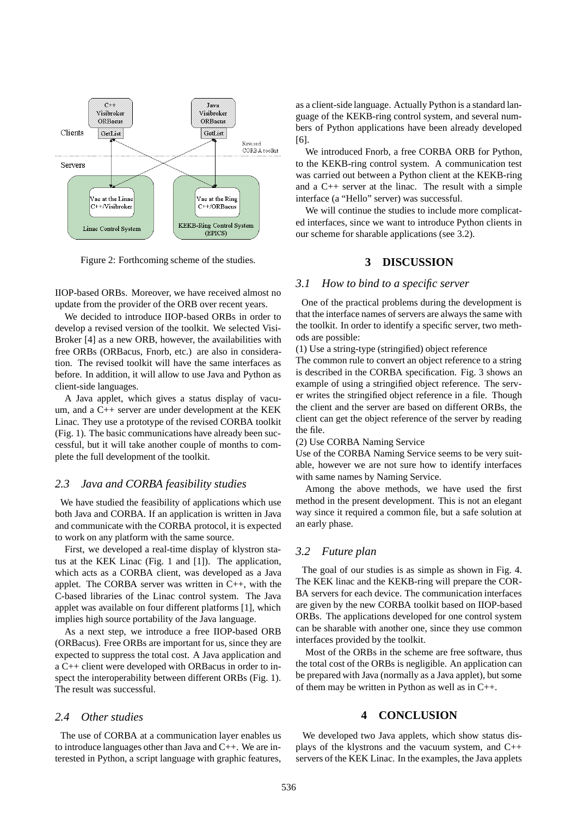

Figure 2: Forthcoming scheme of the studies.

IIOP-based ORBs. Moreover, we have received almost no update from the provider of the ORB over recent years.

We decided to introduce IIOP-based ORBs in order to develop a revised version of the toolkit. We selected Visi-Broker [4] as a new ORB, however, the availabilities with free ORBs (ORBacus, Fnorb, etc.) are also in consideration. The revised toolkit will have the same interfaces as before. In addition, it will allow to use Java and Python as client-side languages.

A Java applet, which gives a status display of vacuum, and a C++ server are under development at the KEK Linac. They use a prototype of the revised CORBA toolkit (Fig. 1). The basic communications have already been successful, but it will take another couple of months to complete the full development of the toolkit.

#### *2.3 Java and CORBA feasibility studies*

We have studied the feasibility of applications which use both Java and CORBA. If an application is written in Java and communicate with the CORBA protocol, it is expected to work on any platform with the same source.

First, we developed a real-time display of klystron status at the KEK Linac (Fig. 1 and [1]). The application, which acts as a CORBA client, was developed as a Java applet. The CORBA server was written in C++, with the C-based libraries of the Linac control system. The Java applet was available on four different platforms [1], which implies high source portability of the Java language.

As a next step, we introduce a free IIOP-based ORB (ORBacus). Free ORBs are important for us, since they are expected to suppress the total cost. A Java application and a C++ client were developed with ORBacus in order to inspect the interoperability between different ORBs (Fig. 1). The result was successful.

#### *2.4 Other studies*

The use of CORBA at a communication layer enables us to introduce languages other than Java and C++. We are interested in Python, a script language with graphic features, as a client-side language. Actually Python is a standard language of the KEKB-ring control system, and several numbers of Python applications have been already developed [6].

We introduced Fnorb, a free CORBA ORB for Python, to the KEKB-ring control system. A communication test was carried out between a Python client at the KEKB-ring and a C++ server at the linac. The result with a simple interface (a "Hello" server) was successful.

We will continue the studies to include more complicated interfaces, since we want to introduce Python clients in our scheme for sharable applications (see 3.2).

## **3 DISCUSSION**

#### *3.1 How to bind to a specific server*

One of the practical problems during the development is that the interface names of servers are always the same with the toolkit. In order to identify a specific server, two methods are possible:

(1) Use a string-type (stringified) object reference

The common rule to convert an object reference to a string is described in the CORBA specification. Fig. 3 shows an example of using a stringified object reference. The server writes the stringified object reference in a file. Though the client and the server are based on different ORBs, the client can get the object reference of the server by reading the file.

(2) Use CORBA Naming Service

Use of the CORBA Naming Service seems to be very suitable, however we are not sure how to identify interfaces with same names by Naming Service.

Among the above methods, we have used the first method in the present development. This is not an elegant way since it required a common file, but a safe solution at an early phase.

# *3.2 Future plan*

The goal of our studies is as simple as shown in Fig. 4. The KEK linac and the KEKB-ring will prepare the COR-BA servers for each device. The communication interfaces are given by the new CORBA toolkit based on IIOP-based ORBs. The applications developed for one control system can be sharable with another one, since they use common interfaces provided by the toolkit.

Most of the ORBs in the scheme are free software, thus the total cost of the ORBs is negligible. An application can be prepared with Java (normally as a Java applet), but some of them may be written in Python as well as in C++.

#### **4 CONCLUSION**

We developed two Java applets, which show status displays of the klystrons and the vacuum system, and C++ servers of the KEK Linac. In the examples, the Java applets